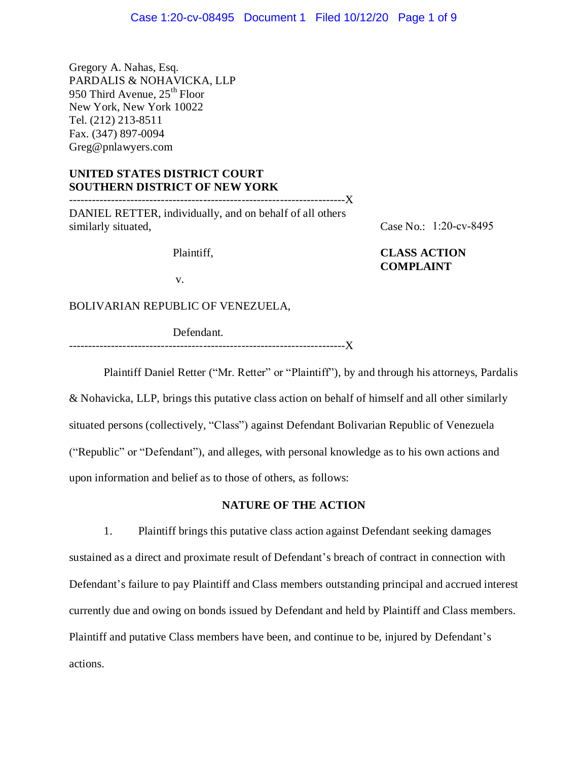Gregory A. Nahas, Esq. PARDALIS & NOHAVICKA, LLP 950 Third Avenue,  $25<sup>th</sup>$  Floor New York, New York 10022 Tel. (212) 213-8511 Fax. (347) 897-0094 Greg@pnlawyers.com

# **UNITED STATES DISTRICT COURT SOUTHERN DISTRICT OF NEW YORK**

DANIEL RETTER, individually, and on behalf of all others similarly situated,

------------------------------------------------------------------------X

Case No.: 1:20-cv-8495

# Plaintiff, **CLASS ACTION COMPLAINT**

v.

BOLIVARIAN REPUBLIC OF VENEZUELA,

Defendant.

------------------------------------------------------------------------X

Plaintiff Daniel Retter ("Mr. Retter" or "Plaintiff"), by and through his attorneys, Pardalis

& Nohavicka, LLP, brings this putative class action on behalf of himself and all other similarly situated persons (collectively, "Class") against Defendant Bolivarian Republic of Venezuela ("Republic" or "Defendant"), and alleges, with personal knowledge as to his own actions and upon information and belief as to those of others, as follows:

## **NATURE OF THE ACTION**

1. Plaintiff brings this putative class action against Defendant seeking damages sustained as a direct and proximate result of Defendant's breach of contract in connection with Defendant's failure to pay Plaintiff and Class members outstanding principal and accrued interest currently due and owing on bonds issued by Defendant and held by Plaintiff and Class members. Plaintiff and putative Class members have been, and continue to be, injured by Defendant's actions.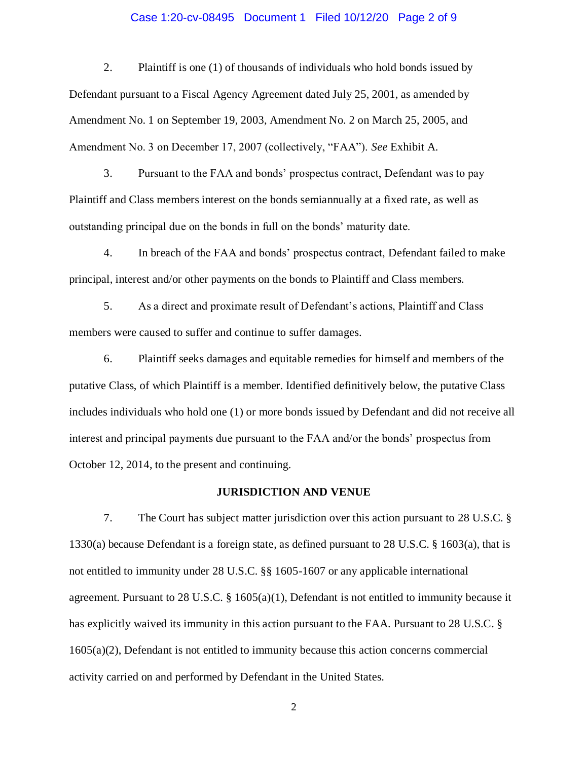### Case 1:20-cv-08495 Document 1 Filed 10/12/20 Page 2 of 9

2. Plaintiff is one (1) of thousands of individuals who hold bonds issued by Defendant pursuant to a Fiscal Agency Agreement dated July 25, 2001, as amended by Amendment No. 1 on September 19, 2003, Amendment No. 2 on March 25, 2005, and Amendment No. 3 on December 17, 2007 (collectively, "FAA"). *See* Exhibit A.

3. Pursuant to the FAA and bonds' prospectus contract, Defendant was to pay Plaintiff and Class members interest on the bonds semiannually at a fixed rate, as well as outstanding principal due on the bonds in full on the bonds' maturity date.

4. In breach of the FAA and bonds' prospectus contract, Defendant failed to make principal, interest and/or other payments on the bonds to Plaintiff and Class members.

5. As a direct and proximate result of Defendant's actions, Plaintiff and Class members were caused to suffer and continue to suffer damages.

6. Plaintiff seeks damages and equitable remedies for himself and members of the putative Class, of which Plaintiff is a member. Identified definitively below, the putative Class includes individuals who hold one (1) or more bonds issued by Defendant and did not receive all interest and principal payments due pursuant to the FAA and/or the bonds' prospectus from October 12, 2014, to the present and continuing.

# **JURISDICTION AND VENUE**

7. The Court has subject matter jurisdiction over this action pursuant to 28 U.S.C. § 1330(a) because Defendant is a foreign state, as defined pursuant to 28 U.S.C. § 1603(a), that is not entitled to immunity under 28 U.S.C. §§ 1605-1607 or any applicable international agreement. Pursuant to 28 U.S.C. § 1605(a)(1), Defendant is not entitled to immunity because it has explicitly waived its immunity in this action pursuant to the FAA. Pursuant to 28 U.S.C. § 1605(a)(2), Defendant is not entitled to immunity because this action concerns commercial activity carried on and performed by Defendant in the United States.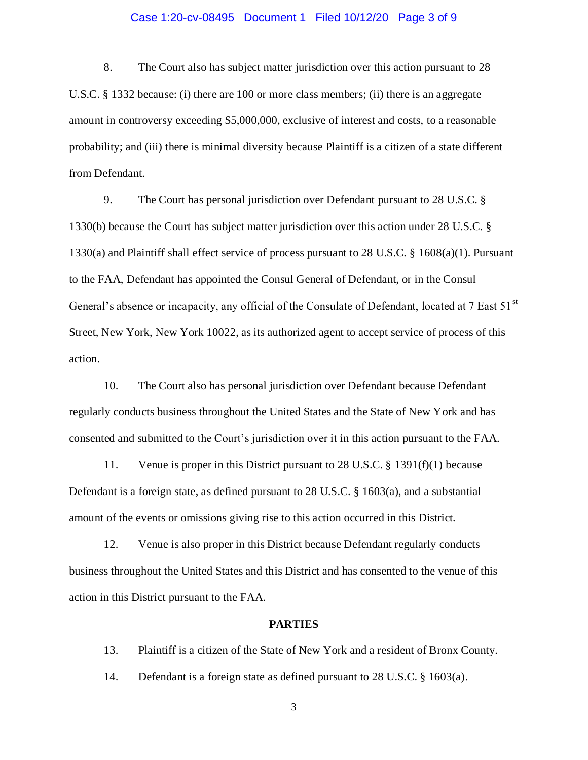## Case 1:20-cv-08495 Document 1 Filed 10/12/20 Page 3 of 9

8. The Court also has subject matter jurisdiction over this action pursuant to 28 U.S.C. § 1332 because: (i) there are 100 or more class members; (ii) there is an aggregate amount in controversy exceeding \$5,000,000, exclusive of interest and costs, to a reasonable probability; and (iii) there is minimal diversity because Plaintiff is a citizen of a state different from Defendant.

9. The Court has personal jurisdiction over Defendant pursuant to 28 U.S.C. § 1330(b) because the Court has subject matter jurisdiction over this action under 28 U.S.C. § 1330(a) and Plaintiff shall effect service of process pursuant to 28 U.S.C. § 1608(a)(1). Pursuant to the FAA, Defendant has appointed the Consul General of Defendant, or in the Consul General's absence or incapacity, any official of the Consulate of Defendant, located at 7 East 51<sup>st</sup> Street, New York, New York 10022, as its authorized agent to accept service of process of this action.

10. The Court also has personal jurisdiction over Defendant because Defendant regularly conducts business throughout the United States and the State of New York and has consented and submitted to the Court's jurisdiction over it in this action pursuant to the FAA.

11. Venue is proper in this District pursuant to 28 U.S.C. § 1391(f)(1) because Defendant is a foreign state, as defined pursuant to 28 U.S.C. § 1603(a), and a substantial amount of the events or omissions giving rise to this action occurred in this District.

12. Venue is also proper in this District because Defendant regularly conducts business throughout the United States and this District and has consented to the venue of this action in this District pursuant to the FAA.

# **PARTIES**

13. Plaintiff is a citizen of the State of New York and a resident of Bronx County.

14. Defendant is a foreign state as defined pursuant to 28 U.S.C. § 1603(a).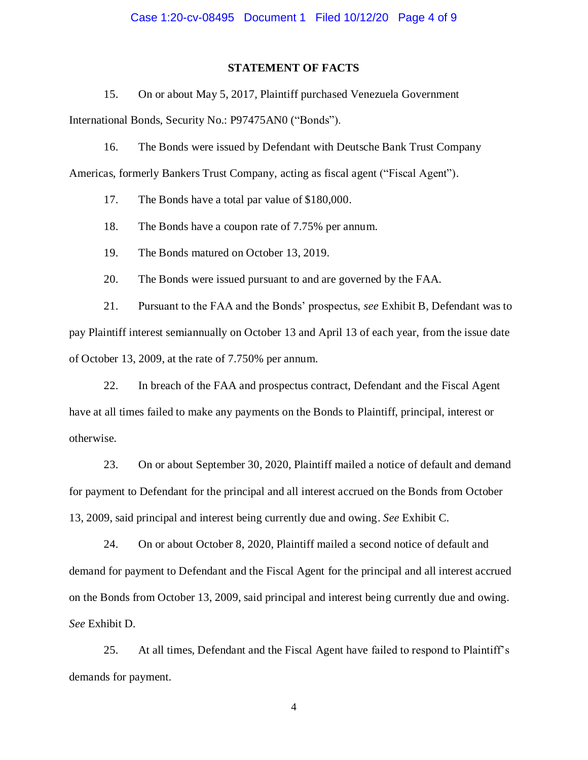#### **STATEMENT OF FACTS**

15. On or about May 5, 2017, Plaintiff purchased Venezuela Government International Bonds, Security No.: P97475AN0 ("Bonds").

16. The Bonds were issued by Defendant with Deutsche Bank Trust Company

Americas, formerly Bankers Trust Company, acting as fiscal agent ("Fiscal Agent").

17. The Bonds have a total par value of \$180,000.

18. The Bonds have a coupon rate of 7.75% per annum.

19. The Bonds matured on October 13, 2019.

20. The Bonds were issued pursuant to and are governed by the FAA.

21. Pursuant to the FAA and the Bonds' prospectus, *see* Exhibit B, Defendant was to pay Plaintiff interest semiannually on October 13 and April 13 of each year, from the issue date of October 13, 2009, at the rate of 7.750% per annum.

22. In breach of the FAA and prospectus contract, Defendant and the Fiscal Agent have at all times failed to make any payments on the Bonds to Plaintiff, principal, interest or otherwise.

23. On or about September 30, 2020, Plaintiff mailed a notice of default and demand for payment to Defendant for the principal and all interest accrued on the Bonds from October 13, 2009, said principal and interest being currently due and owing. *See* Exhibit C.

24. On or about October 8, 2020, Plaintiff mailed a second notice of default and demand for payment to Defendant and the Fiscal Agent for the principal and all interest accrued on the Bonds from October 13, 2009, said principal and interest being currently due and owing. *See* Exhibit D.

25. At all times, Defendant and the Fiscal Agent have failed to respond to Plaintiff's demands for payment.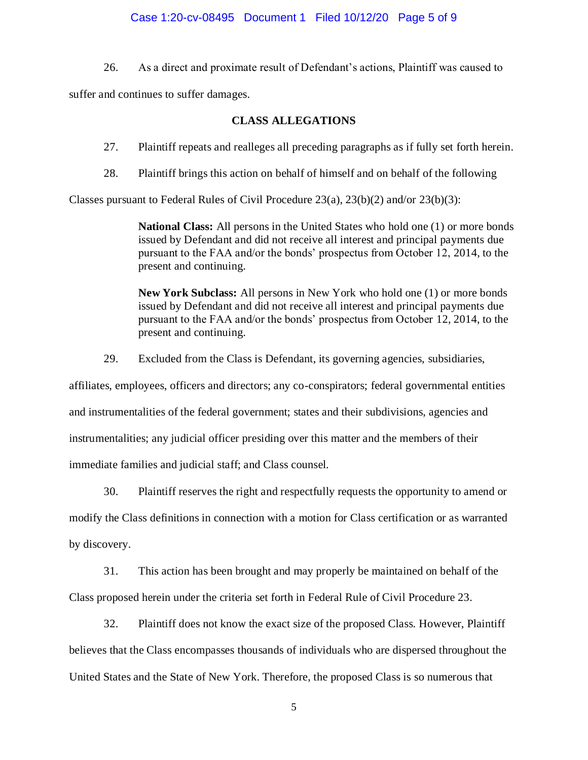## Case 1:20-cv-08495 Document 1 Filed 10/12/20 Page 5 of 9

26. As a direct and proximate result of Defendant's actions, Plaintiff was caused to

suffer and continues to suffer damages.

## **CLASS ALLEGATIONS**

27. Plaintiff repeats and realleges all preceding paragraphs as if fully set forth herein.

28. Plaintiff brings this action on behalf of himself and on behalf of the following

Classes pursuant to Federal Rules of Civil Procedure 23(a), 23(b)(2) and/or 23(b)(3):

**National Class:** All persons in the United States who hold one (1) or more bonds issued by Defendant and did not receive all interest and principal payments due pursuant to the FAA and/or the bonds' prospectus from October 12, 2014, to the present and continuing.

**New York Subclass:** All persons in New York who hold one (1) or more bonds issued by Defendant and did not receive all interest and principal payments due pursuant to the FAA and/or the bonds' prospectus from October 12, 2014, to the present and continuing.

29. Excluded from the Class is Defendant, its governing agencies, subsidiaries,

affiliates, employees, officers and directors; any co-conspirators; federal governmental entities

and instrumentalities of the federal government; states and their subdivisions, agencies and

instrumentalities; any judicial officer presiding over this matter and the members of their

immediate families and judicial staff; and Class counsel.

30. Plaintiff reserves the right and respectfully requests the opportunity to amend or

modify the Class definitions in connection with a motion for Class certification or as warranted

by discovery.

31. This action has been brought and may properly be maintained on behalf of the

Class proposed herein under the criteria set forth in Federal Rule of Civil Procedure 23.

32. Plaintiff does not know the exact size of the proposed Class. However, Plaintiff

believes that the Class encompasses thousands of individuals who are dispersed throughout the United States and the State of New York. Therefore, the proposed Class is so numerous that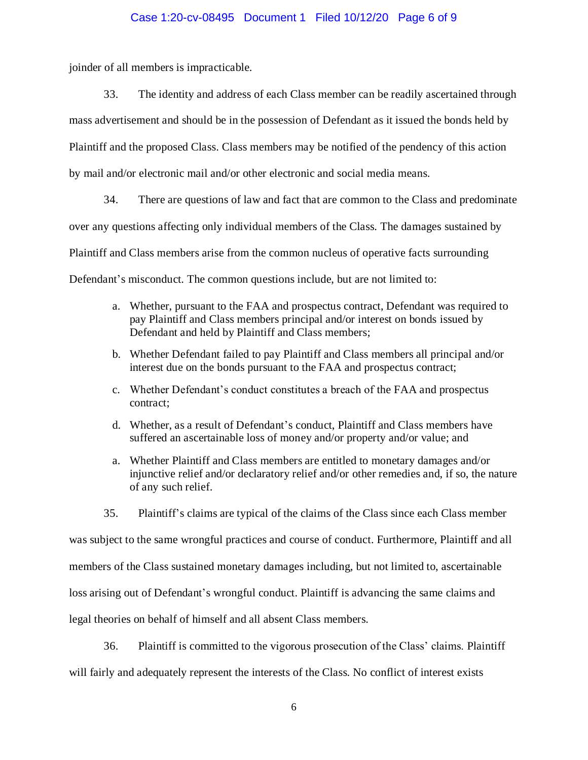## Case 1:20-cv-08495 Document 1 Filed 10/12/20 Page 6 of 9

joinder of all members is impracticable.

33. The identity and address of each Class member can be readily ascertained through mass advertisement and should be in the possession of Defendant as it issued the bonds held by Plaintiff and the proposed Class. Class members may be notified of the pendency of this action by mail and/or electronic mail and/or other electronic and social media means.

34. There are questions of law and fact that are common to the Class and predominate over any questions affecting only individual members of the Class. The damages sustained by Plaintiff and Class members arise from the common nucleus of operative facts surrounding Defendant's misconduct. The common questions include, but are not limited to:

- a. Whether, pursuant to the FAA and prospectus contract, Defendant was required to pay Plaintiff and Class members principal and/or interest on bonds issued by Defendant and held by Plaintiff and Class members;
- b. Whether Defendant failed to pay Plaintiff and Class members all principal and/or interest due on the bonds pursuant to the FAA and prospectus contract;
- c. Whether Defendant's conduct constitutes a breach of the FAA and prospectus contract;
- d. Whether, as a result of Defendant's conduct, Plaintiff and Class members have suffered an ascertainable loss of money and/or property and/or value; and
- a. Whether Plaintiff and Class members are entitled to monetary damages and/or injunctive relief and/or declaratory relief and/or other remedies and, if so, the nature of any such relief.
- 35. Plaintiff's claims are typical of the claims of the Class since each Class member

was subject to the same wrongful practices and course of conduct. Furthermore, Plaintiff and all

members of the Class sustained monetary damages including, but not limited to, ascertainable

loss arising out of Defendant's wrongful conduct. Plaintiff is advancing the same claims and

legal theories on behalf of himself and all absent Class members.

36. Plaintiff is committed to the vigorous prosecution of the Class' claims. Plaintiff will fairly and adequately represent the interests of the Class. No conflict of interest exists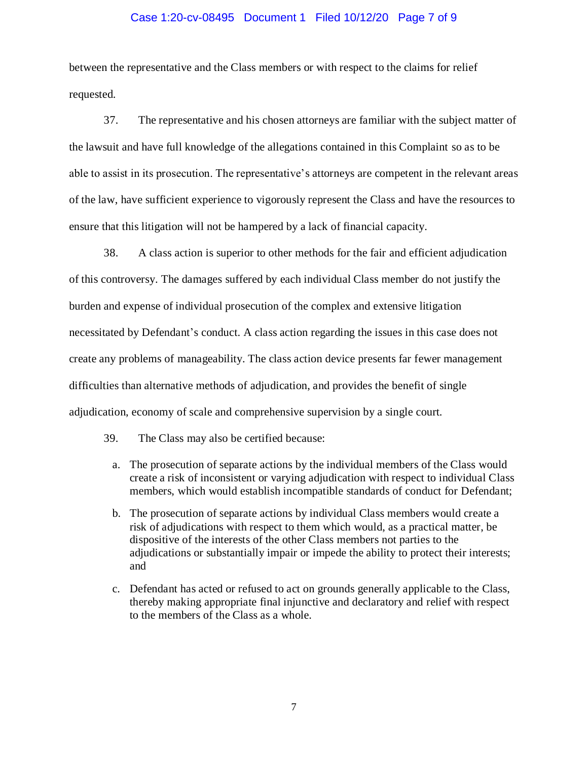#### Case 1:20-cv-08495 Document 1 Filed 10/12/20 Page 7 of 9

between the representative and the Class members or with respect to the claims for relief requested.

37. The representative and his chosen attorneys are familiar with the subject matter of the lawsuit and have full knowledge of the allegations contained in this Complaint so as to be able to assist in its prosecution. The representative's attorneys are competent in the relevant areas of the law, have sufficient experience to vigorously represent the Class and have the resources to ensure that this litigation will not be hampered by a lack of financial capacity.

38. A class action is superior to other methods for the fair and efficient adjudication of this controversy. The damages suffered by each individual Class member do not justify the burden and expense of individual prosecution of the complex and extensive litigation necessitated by Defendant's conduct. A class action regarding the issues in this case does not create any problems of manageability. The class action device presents far fewer management difficulties than alternative methods of adjudication, and provides the benefit of single adjudication, economy of scale and comprehensive supervision by a single court.

39. The Class may also be certified because:

- a. The prosecution of separate actions by the individual members of the Class would create a risk of inconsistent or varying adjudication with respect to individual Class members, which would establish incompatible standards of conduct for Defendant;
- b. The prosecution of separate actions by individual Class members would create a risk of adjudications with respect to them which would, as a practical matter, be dispositive of the interests of the other Class members not parties to the adjudications or substantially impair or impede the ability to protect their interests; and
- c. Defendant has acted or refused to act on grounds generally applicable to the Class, thereby making appropriate final injunctive and declaratory and relief with respect to the members of the Class as a whole.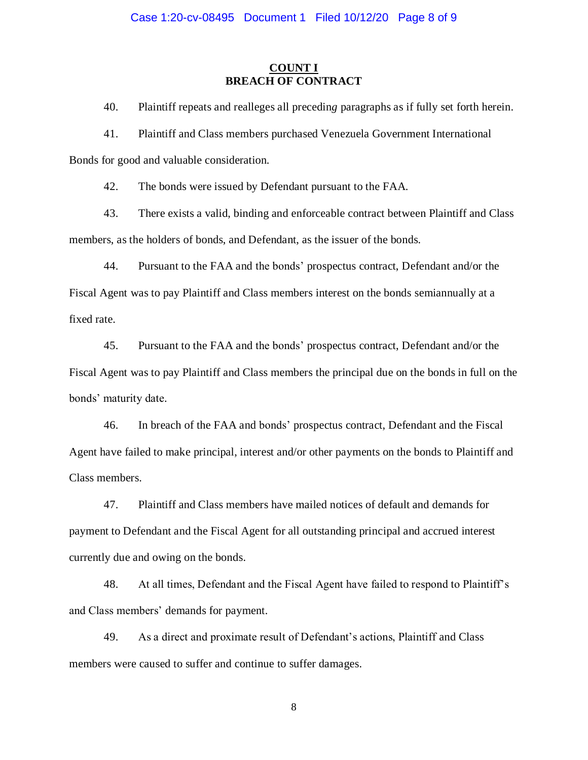# **COUNT I BREACH OF CONTRACT**

40. Plaintiff repeats and realleges all precedin*g* paragraphs as if fully set forth herein.

41. Plaintiff and Class members purchased Venezuela Government International

Bonds for good and valuable consideration.

42. The bonds were issued by Defendant pursuant to the FAA.

43. There exists a valid, binding and enforceable contract between Plaintiff and Class members, as the holders of bonds, and Defendant, as the issuer of the bonds.

44. Pursuant to the FAA and the bonds' prospectus contract, Defendant and/or the Fiscal Agent was to pay Plaintiff and Class members interest on the bonds semiannually at a

fixed rate.

45. Pursuant to the FAA and the bonds' prospectus contract, Defendant and/or the Fiscal Agent was to pay Plaintiff and Class members the principal due on the bonds in full on the bonds' maturity date.

46. In breach of the FAA and bonds' prospectus contract, Defendant and the Fiscal Agent have failed to make principal, interest and/or other payments on the bonds to Plaintiff and Class members.

47. Plaintiff and Class members have mailed notices of default and demands for payment to Defendant and the Fiscal Agent for all outstanding principal and accrued interest currently due and owing on the bonds.

48. At all times, Defendant and the Fiscal Agent have failed to respond to Plaintiff's and Class members' demands for payment.

49. As a direct and proximate result of Defendant's actions, Plaintiff and Class members were caused to suffer and continue to suffer damages.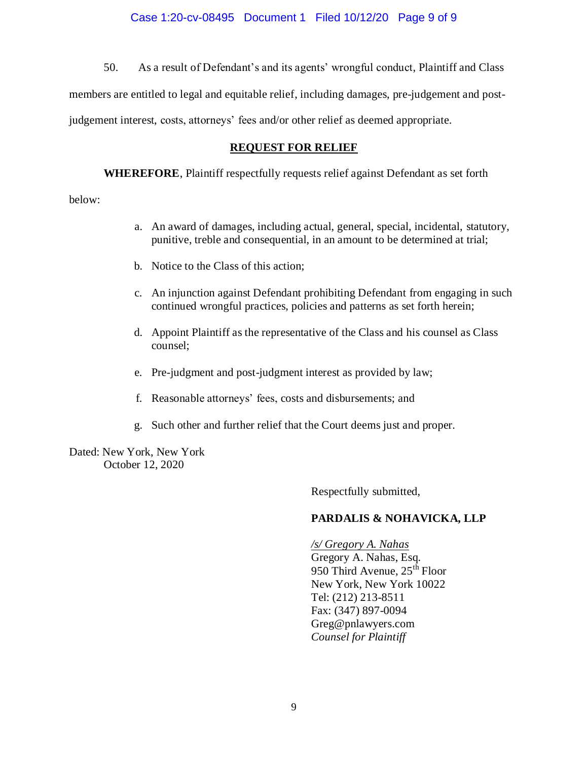50. As a result of Defendant's and its agents' wrongful conduct, Plaintiff and Class members are entitled to legal and equitable relief, including damages, pre-judgement and postjudgement interest, costs, attorneys' fees and/or other relief as deemed appropriate.

# **REQUEST FOR RELIEF**

**WHEREFORE**, Plaintiff respectfully requests relief against Defendant as set forth

below:

- a. An award of damages, including actual, general, special, incidental, statutory, punitive, treble and consequential, in an amount to be determined at trial;
- b. Notice to the Class of this action;
- c. An injunction against Defendant prohibiting Defendant from engaging in such continued wrongful practices, policies and patterns as set forth herein;
- d. Appoint Plaintiff as the representative of the Class and his counsel as Class counsel;
- e. Pre-judgment and post-judgment interest as provided by law;
- f. Reasonable attorneys' fees, costs and disbursements; and
- g. Such other and further relief that the Court deems just and proper.

Dated: New York, New York October 12, 2020

Respectfully submitted,

# **PARDALIS & NOHAVICKA, LLP**

*/s/ Gregory A. Nahas* Gregory A. Nahas, Esq. 950 Third Avenue, 25<sup>th</sup> Floor New York, New York 10022 Tel: (212) 213-8511 Fax: (347) 897-0094 Greg@pnlawyers.com *Counsel for Plaintiff*